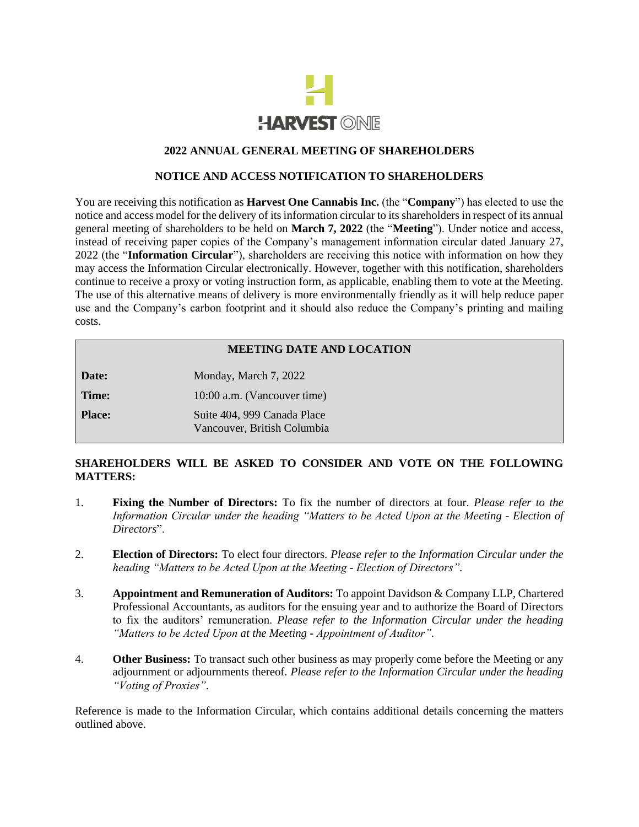

### **2022 ANNUAL GENERAL MEETING OF SHAREHOLDERS**

#### **NOTICE AND ACCESS NOTIFICATION TO SHAREHOLDERS**

You are receiving this notification as **Harvest One Cannabis Inc.** (the "**Company**") has elected to use the notice and access model for the delivery of its information circular to its shareholders in respect of its annual general meeting of shareholders to be held on **March 7, 2022** (the "**Meeting**"). Under notice and access, instead of receiving paper copies of the Company's management information circular dated January 27, 2022 (the "**Information Circular**"), shareholders are receiving this notice with information on how they may access the Information Circular electronically. However, together with this notification, shareholders continue to receive a proxy or voting instruction form, as applicable, enabling them to vote at the Meeting. The use of this alternative means of delivery is more environmentally friendly as it will help reduce paper use and the Company's carbon footprint and it should also reduce the Company's printing and mailing costs.

### **MEETING DATE AND LOCATION**

**Date:** Monday, March 7, 2022 **Time:** 10:00 a.m. (Vancouver time) **Place:** Suite 404, 999 Canada Place Vancouver, British Columbia

# **SHAREHOLDERS WILL BE ASKED TO CONSIDER AND VOTE ON THE FOLLOWING MATTERS:**

- 1. **Fixing the Number of Directors:** To fix the number of directors at four. *Please refer to the Information Circular under the heading "Matters to be Acted Upon at the Meeting - Election of Directors*".
- 2. **Election of Directors:** To elect four directors. *Please refer to the Information Circular under the heading "Matters to be Acted Upon at the Meeting - Election of Directors"*.
- 3. **Appointment and Remuneration of Auditors:** To appoint Davidson & Company LLP, Chartered Professional Accountants, as auditors for the ensuing year and to authorize the Board of Directors to fix the auditors' remuneration. *Please refer to the Information Circular under the heading "Matters to be Acted Upon at the Meeting - Appointment of Auditor"*.
- 4. **Other Business:** To transact such other business as may properly come before the Meeting or any adjournment or adjournments thereof. *Please refer to the Information Circular under the heading "Voting of Proxies"*.

Reference is made to the Information Circular, which contains additional details concerning the matters outlined above.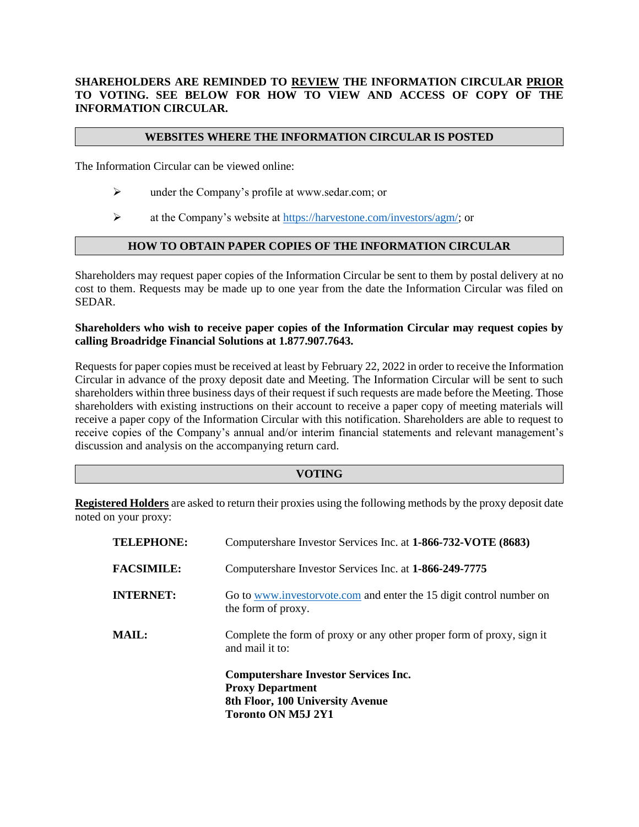# **SHAREHOLDERS ARE REMINDED TO REVIEW THE INFORMATION CIRCULAR PRIOR TO VOTING. SEE BELOW FOR HOW TO VIEW AND ACCESS OF COPY OF THE INFORMATION CIRCULAR.**

### **WEBSITES WHERE THE INFORMATION CIRCULAR IS POSTED**

The Information Circular can be viewed online:

- ➢ under the Company's profile at www.sedar.com; or
- ➢ at the Company's website at [https://harvestone.com/investors/agm/;](https://harvestone.com/investors/agm/) or

# **HOW TO OBTAIN PAPER COPIES OF THE INFORMATION CIRCULAR**

Shareholders may request paper copies of the Information Circular be sent to them by postal delivery at no cost to them. Requests may be made up to one year from the date the Information Circular was filed on SEDAR.

### **Shareholders who wish to receive paper copies of the Information Circular may request copies by calling Broadridge Financial Solutions at 1.877.907.7643.**

Requests for paper copies must be received at least by February 22, 2022 in order to receive the Information Circular in advance of the proxy deposit date and Meeting. The Information Circular will be sent to such shareholders within three business days of their request if such requests are made before the Meeting. Those shareholders with existing instructions on their account to receive a paper copy of meeting materials will receive a paper copy of the Information Circular with this notification. Shareholders are able to request to receive copies of the Company's annual and/or interim financial statements and relevant management's discussion and analysis on the accompanying return card.

#### **VOTING**

**Registered Holders** are asked to return their proxies using the following methods by the proxy deposit date noted on your proxy:

|                   | <b>Computershare Investor Services Inc.</b><br><b>Proxy Department</b><br>8th Floor, 100 University Avenue<br><b>Toronto ON M5J 2Y1</b> |
|-------------------|-----------------------------------------------------------------------------------------------------------------------------------------|
| <b>MAIL:</b>      | Complete the form of proxy or any other proper form of proxy, sign it<br>and mail it to:                                                |
| <b>INTERNET:</b>  | Go to www.investorvote.com and enter the 15 digit control number on<br>the form of proxy.                                               |
| <b>FACSIMILE:</b> | Computershare Investor Services Inc. at 1-866-249-7775                                                                                  |
| <b>TELEPHONE:</b> | Computershare Investor Services Inc. at 1-866-732-VOTE (8683)                                                                           |